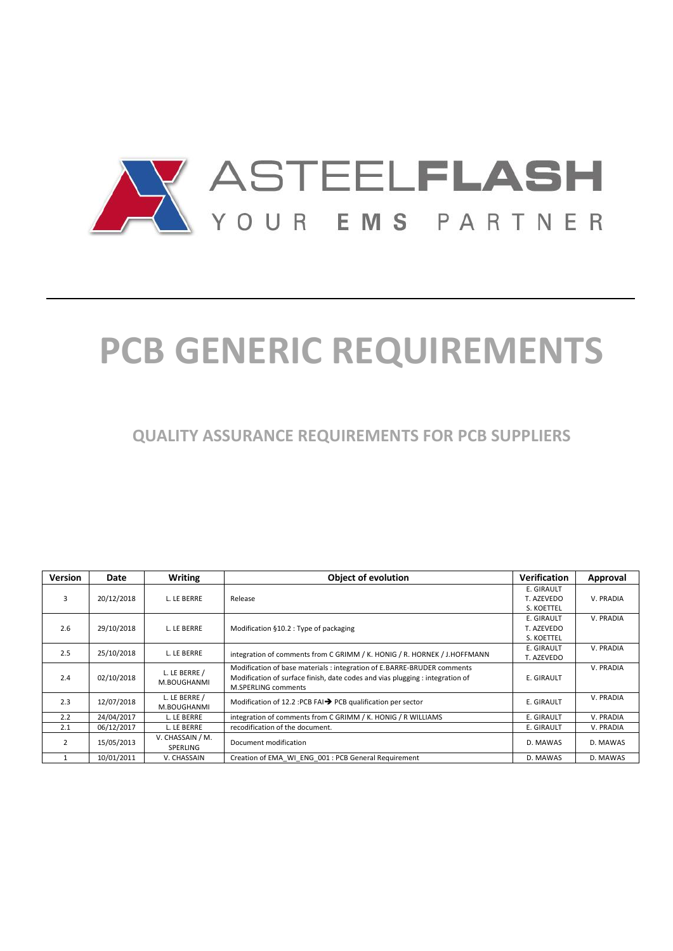

# **PCB GENERIC REQUIREMENTS**

**QUALITY ASSURANCE REQUIREMENTS FOR PCB SUPPLIERS** 

| <b>Version</b> | Date       | <b>Writing</b>               | <b>Object of evolution</b>                                                                                                                                                             | Verification             | Approval  |
|----------------|------------|------------------------------|----------------------------------------------------------------------------------------------------------------------------------------------------------------------------------------|--------------------------|-----------|
| 3              | 20/12/2018 | L. LE BERRE                  | Release                                                                                                                                                                                | E. GIRAULT<br>T. AZEVEDO | V. PRADIA |
|                |            |                              |                                                                                                                                                                                        | S. KOETTEL<br>E. GIRAULT | V. PRADIA |
| 2.6            | 29/10/2018 | L. LE BERRE                  | Modification §10.2 : Type of packaging                                                                                                                                                 | T. AZEVEDO<br>S. KOETTEL |           |
| 2.5            | 25/10/2018 | L. LE BERRE                  | integration of comments from C GRIMM / K. HONIG / R. HORNEK / J.HOFFMANN                                                                                                               | E. GIRAULT<br>T. AZEVEDO | V. PRADIA |
| 2.4            | 02/10/2018 | L. LE BERRE /<br>M.BOUGHANMI | Modification of base materials : integration of E.BARRE-BRUDER comments<br>Modification of surface finish, date codes and vias plugging : integration of<br><b>M.SPERLING comments</b> | E. GIRAULT               | V. PRADIA |
| 2.3            | 12/07/2018 | L. LE BERRE /<br>M.BOUGHANMI | Modification of 12.2 : PCB FAI $\rightarrow$ PCB qualification per sector                                                                                                              | E. GIRAULT               | V. PRADIA |
| 2.2            | 24/04/2017 | L. LE BERRE                  | integration of comments from C GRIMM / K. HONIG / R WILLIAMS                                                                                                                           | E. GIRAULT               | V. PRADIA |
| 2.1            | 06/12/2017 | L. LE BERRE                  | recodification of the document.                                                                                                                                                        | E. GIRAULT               | V. PRADIA |
| $\mathcal{P}$  | 15/05/2013 | V. CHASSAIN / M.<br>SPERLING | Document modification                                                                                                                                                                  | D. MAWAS                 | D. MAWAS  |
|                | 10/01/2011 | V. CHASSAIN                  | Creation of EMA WI ENG 001 : PCB General Requirement                                                                                                                                   | D. MAWAS                 | D. MAWAS  |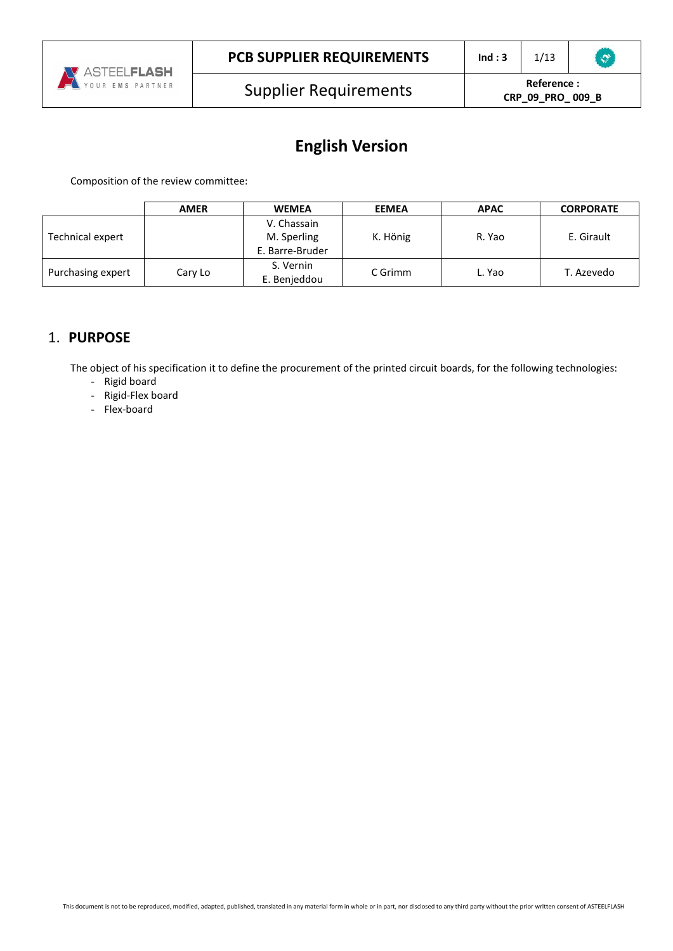

**CRP\_09\_PRO\_ 009\_B**

# **English Version**

Composition of the review committee:

|                   | <b>AMER</b> | <b>WEMEA</b>    | <b>EEMEA</b> | <b>APAC</b> | <b>CORPORATE</b> |  |
|-------------------|-------------|-----------------|--------------|-------------|------------------|--|
|                   |             | V. Chassain     |              |             |                  |  |
| Technical expert  |             | M. Sperling     | K. Hönig     | R. Yao      | E. Girault       |  |
|                   |             | E. Barre-Bruder |              |             |                  |  |
|                   |             | S. Vernin       | C Grimm      |             |                  |  |
| Purchasing expert | Cary Lo     | E. Benjeddou    | c. Yao       | T. Azevedo  |                  |  |

# 1. **PURPOSE**

The object of his specification it to define the procurement of the printed circuit boards, for the following technologies:

- Rigid board
- Rigid-Flex board
- Flex-board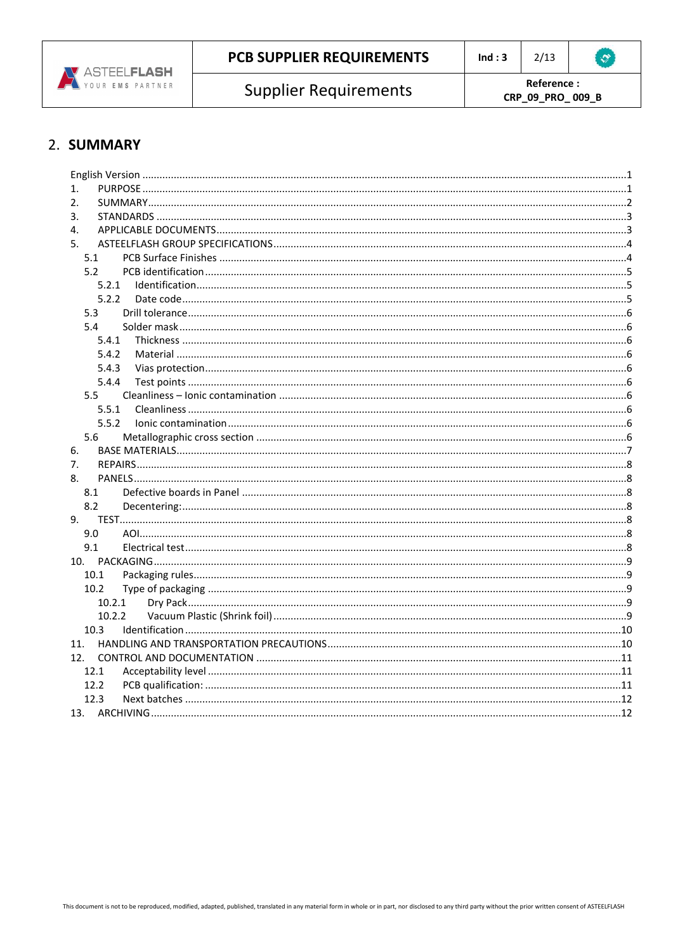

**Supplier Requirements** 

Reference: CRP\_09\_PRO\_009\_B

# 2. SUMMARY

| 1.     |  |
|--------|--|
| 2.     |  |
| 3.     |  |
| 4.     |  |
| 5.     |  |
| 5.1    |  |
| 5.2    |  |
| 5.2.1  |  |
| 5.2.2  |  |
| 5.3    |  |
| 5.4    |  |
| 5.4.1  |  |
| 5.4.2  |  |
| 5.4.3  |  |
| 5.4.4  |  |
| 5.5    |  |
| 5.5.1  |  |
| 5.5.2  |  |
| 5.6    |  |
| 6.     |  |
| 7.     |  |
| 8.     |  |
| 8.1    |  |
| 8.2    |  |
| 9.     |  |
| 9.0    |  |
| 9.1    |  |
|        |  |
| 10.1   |  |
| 10.2   |  |
| 10.2.1 |  |
| 10.2.2 |  |
| 10.3   |  |
| 11.    |  |
| 12.    |  |
| 12.1   |  |
| 12.2   |  |
| 12.3   |  |
|        |  |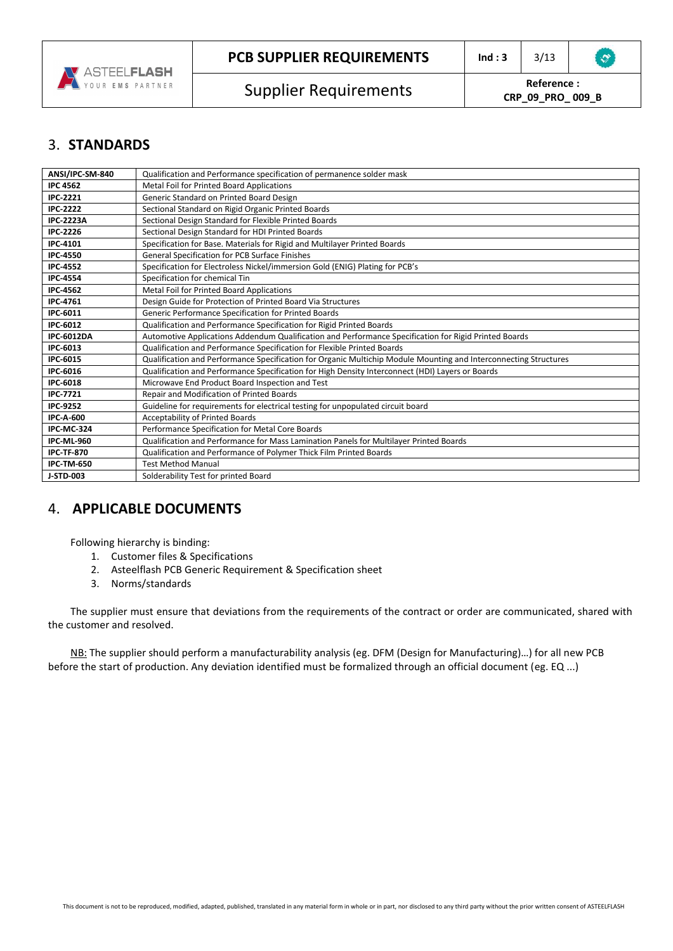

# 3. **STANDARDS**

| ANSI/IPC-SM-840   | Qualification and Performance specification of permanence solder mask                                            |
|-------------------|------------------------------------------------------------------------------------------------------------------|
| <b>IPC 4562</b>   | Metal Foil for Printed Board Applications                                                                        |
| <b>IPC-2221</b>   | Generic Standard on Printed Board Design                                                                         |
| <b>IPC-2222</b>   | Sectional Standard on Rigid Organic Printed Boards                                                               |
| <b>IPC-2223A</b>  | Sectional Design Standard for Flexible Printed Boards                                                            |
| <b>IPC-2226</b>   | Sectional Design Standard for HDI Printed Boards                                                                 |
| IPC-4101          | Specification for Base. Materials for Rigid and Multilayer Printed Boards                                        |
| <b>IPC-4550</b>   | General Specification for PCB Surface Finishes                                                                   |
| <b>IPC-4552</b>   | Specification for Electroless Nickel/immersion Gold (ENIG) Plating for PCB's                                     |
| <b>IPC-4554</b>   | Specification for chemical Tin                                                                                   |
| <b>IPC-4562</b>   | Metal Foil for Printed Board Applications                                                                        |
| <b>IPC-4761</b>   | Design Guide for Protection of Printed Board Via Structures                                                      |
| IPC-6011          | Generic Performance Specification for Printed Boards                                                             |
| IPC-6012          | Qualification and Performance Specification for Rigid Printed Boards                                             |
| <b>IPC-6012DA</b> | Automotive Applications Addendum Qualification and Performance Specification for Rigid Printed Boards            |
| IPC-6013          | Qualification and Performance Specification for Flexible Printed Boards                                          |
| IPC-6015          | Qualification and Performance Specification for Organic Multichip Module Mounting and Interconnecting Structures |
| IPC-6016          | Qualification and Performance Specification for High Density Interconnect (HDI) Layers or Boards                 |
| <b>IPC-6018</b>   | Microwave End Product Board Inspection and Test                                                                  |
| <b>IPC-7721</b>   | Repair and Modification of Printed Boards                                                                        |
| <b>IPC-9252</b>   | Guideline for requirements for electrical testing for unpopulated circuit board                                  |
| <b>IPC-A-600</b>  | Acceptability of Printed Boards                                                                                  |
| <b>IPC-MC-324</b> | Performance Specification for Metal Core Boards                                                                  |
| <b>IPC-ML-960</b> | Qualification and Performance for Mass Lamination Panels for Multilayer Printed Boards                           |
| <b>IPC-TF-870</b> | Qualification and Performance of Polymer Thick Film Printed Boards                                               |
| <b>IPC-TM-650</b> | <b>Test Method Manual</b>                                                                                        |
| J-STD-003         | Solderability Test for printed Board                                                                             |

# 4. **APPLICABLE DOCUMENTS**

Following hierarchy is binding:

- 1. Customer files & Specifications
- 2. Asteelflash PCB Generic Requirement & Specification sheet
- 3. Norms/standards

The supplier must ensure that deviations from the requirements of the contract or order are communicated, shared with the customer and resolved.

NB: The supplier should perform a manufacturability analysis (eg. DFM (Design for Manufacturing)…) for all new PCB before the start of production. Any deviation identified must be formalized through an official document (eg. EQ ...)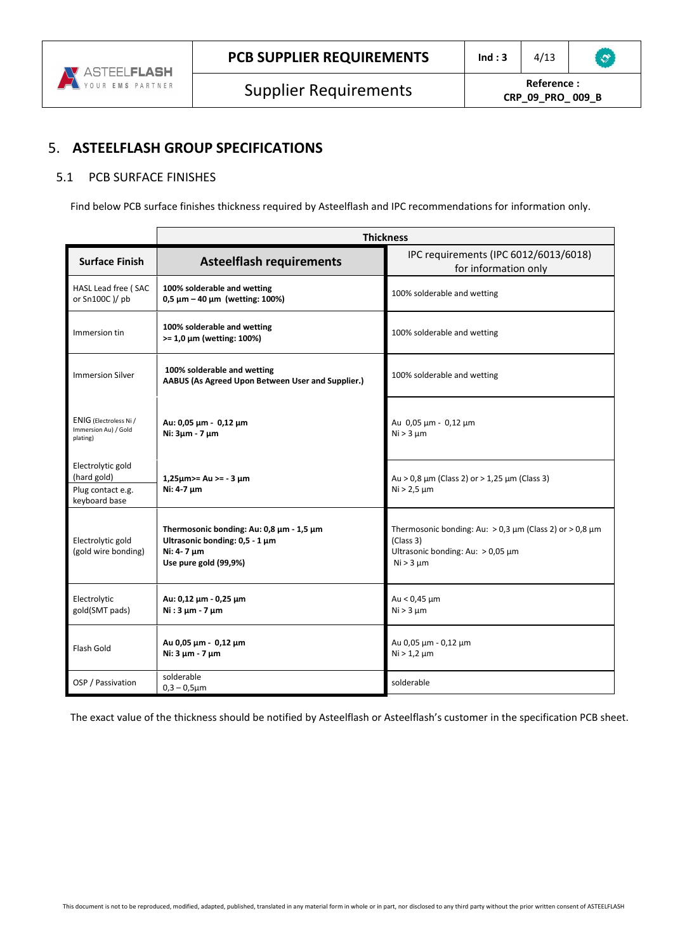

# 5. **ASTEELFLASH GROUP SPECIFICATIONS**

#### 5.1 PCB SURFACE FINISHES

Find below PCB surface finishes thickness required by Asteelflash and IPC recommendations for information only.

|                                                                        | <b>Thickness</b>                                                                                                  |                                                                                                                                            |
|------------------------------------------------------------------------|-------------------------------------------------------------------------------------------------------------------|--------------------------------------------------------------------------------------------------------------------------------------------|
| <b>Surface Finish</b>                                                  | <b>Asteelflash requirements</b>                                                                                   | IPC requirements (IPC 6012/6013/6018)<br>for information only                                                                              |
| HASL Lead free (SAC<br>or Sn100C )/ pb                                 | 100% solderable and wetting<br>$0.5 \mu m - 40 \mu m$ (wetting: 100%)                                             | 100% solderable and wetting                                                                                                                |
| Immersion tin                                                          | 100% solderable and wetting<br>$>= 1,0 \mu m$ (wetting: 100%)                                                     | 100% solderable and wetting                                                                                                                |
| <b>Immersion Silver</b>                                                | 100% solderable and wetting<br>AABUS (As Agreed Upon Between User and Supplier.)                                  | 100% solderable and wetting                                                                                                                |
| ENIG (Electroless Ni /<br>Immersion Au) / Gold<br>plating)             | Au: 0,05 μm - 0,12 μm<br>Ni: 3µm - 7 µm                                                                           | Au 0,05 μm - 0,12 μm<br>$Ni > 3 \mu m$                                                                                                     |
| Electrolytic gold<br>(hard gold)<br>Plug contact e.g.<br>keyboard base | $1,25 \mu m$ >= Au >= - 3 $\mu m$<br>Ni: 4-7 µm                                                                   | Au > 0,8 $\mu$ m (Class 2) or > 1,25 $\mu$ m (Class 3)<br>$Ni > 2.5 \mu m$                                                                 |
| Electrolytic gold<br>(gold wire bonding)                               | Thermosonic bonding: Au: 0,8 µm - 1,5 µm<br>Ultrasonic bonding: 0,5 - 1 µm<br>Ni: 4-7 um<br>Use pure gold (99,9%) | Thermosonic bonding: Au: $> 0.3 \mu m$ (Class 2) or $> 0.8 \mu m$<br>(Class 3)<br>Ultrasonic bonding: Au: $> 0.05 \mu m$<br>$Ni > 3 \mu m$ |
| Electrolytic<br>gold(SMT pads)                                         | Au: 0,12 μm - 0,25 μm<br>$Ni:3 \mu m - 7 \mu m$                                                                   | Au < $0,45 \mu m$<br>$Ni > 3 \mu m$                                                                                                        |
| Flash Gold                                                             | Au 0,05 μm - 0,12 μm<br>Ni: 3 um - 7 um                                                                           | Au 0,05 μm - 0,12 μm<br>$Ni > 1,2 \mu m$                                                                                                   |
| OSP / Passivation                                                      | solderable<br>$0,3 - 0,5 \mu m$                                                                                   | solderable                                                                                                                                 |

The exact value of the thickness should be notified by Asteelflash or Asteelflash's customer in the specification PCB sheet.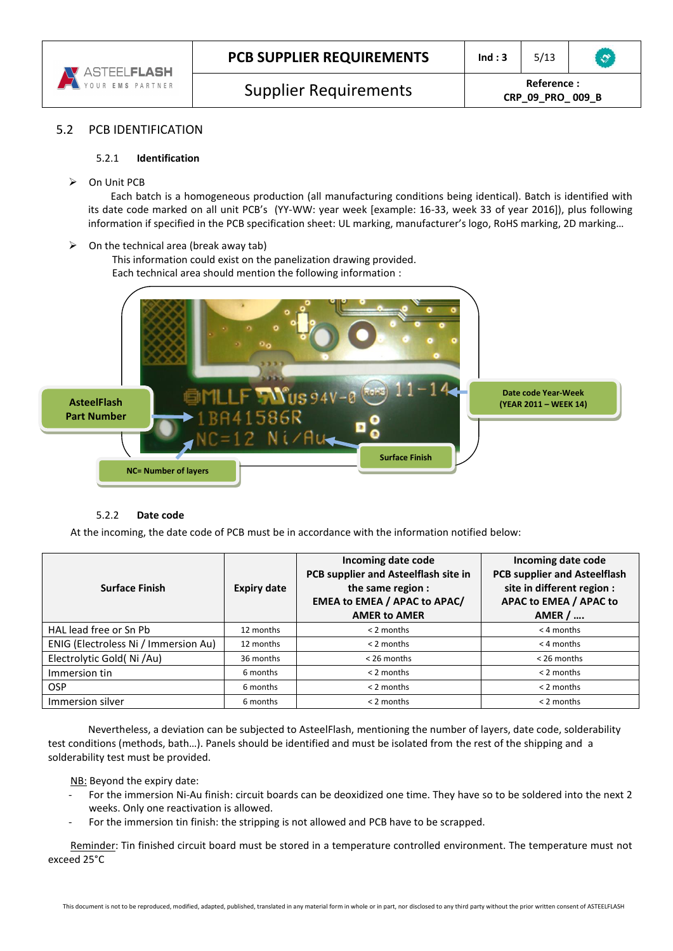

#### 5.2 PCB IDENTIFICATION

#### 5.2.1 **Identification**

On Unit PCB

Each batch is a homogeneous production (all manufacturing conditions being identical). Batch is identified with its date code marked on all unit PCB's (YY-WW: year week [example: 16-33, week 33 of year 2016]), plus following information if specified in the PCB specification sheet: UL marking, manufacturer's logo, RoHS marking, 2D marking…

 $\triangleright$  On the technical area (break away tab)

This information could exist on the panelization drawing provided. Each technical area should mention the following information :



#### 5.2.2 **Date code**

At the incoming, the date code of PCB must be in accordance with the information notified below:

| <b>Surface Finish</b>                | <b>Expiry date</b> | Incoming date code<br>PCB supplier and Asteelflash site in<br>the same region :<br><b>EMEA to EMEA / APAC to APAC/</b><br><b>AMER to AMER</b> | Incoming date code<br><b>PCB supplier and Asteelflash</b><br>site in different region :<br>APAC to EMEA / APAC to<br>AMER $/$ |
|--------------------------------------|--------------------|-----------------------------------------------------------------------------------------------------------------------------------------------|-------------------------------------------------------------------------------------------------------------------------------|
| HAL lead free or Sn Pb               | 12 months          | $<$ 2 months                                                                                                                                  | $<$ 4 months                                                                                                                  |
| ENIG (Electroless Ni / Immersion Au) | 12 months          | $<$ 2 months                                                                                                                                  | $<$ 4 months                                                                                                                  |
| Electrolytic Gold(Ni/Au)             | 36 months          | < 26 months                                                                                                                                   | < 26 months                                                                                                                   |
| Immersion tin                        | 6 months           | $<$ 2 months                                                                                                                                  | $< 2$ months                                                                                                                  |
| <b>OSP</b>                           | 6 months           | $<$ 2 months                                                                                                                                  | $<$ 2 months                                                                                                                  |
| Immersion silver                     | 6 months           | $< 2$ months                                                                                                                                  | $< 2$ months                                                                                                                  |

 Nevertheless, a deviation can be subjected to AsteelFlash, mentioning the number of layers, date code, solderability test conditions (methods, bath…). Panels should be identified and must be isolated from the rest of the shipping and a solderability test must be provided.

NB: Beyond the expiry date:

- For the immersion Ni-Au finish: circuit boards can be deoxidized one time. They have so to be soldered into the next 2 weeks. Only one reactivation is allowed.
- For the immersion tin finish: the stripping is not allowed and PCB have to be scrapped.

Reminder: Tin finished circuit board must be stored in a temperature controlled environment. The temperature must not exceed 25°C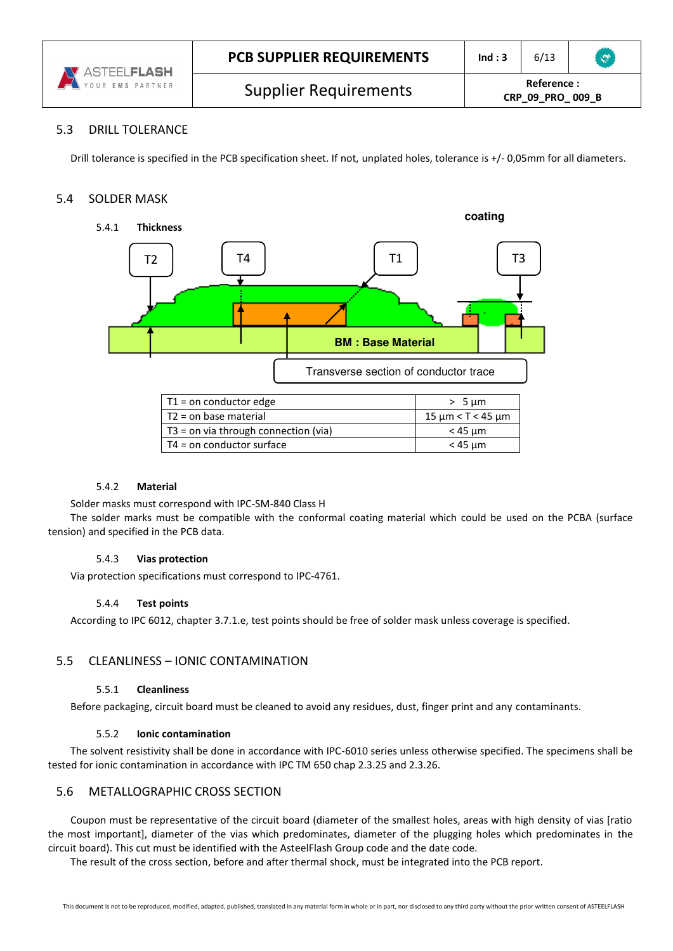

#### 5.3 DRILL TOLERANCE

Drill tolerance is specified in the PCB specification sheet. If not, unplated holes, tolerance is +/- 0,05mm for all diameters.

#### 5.4 SOLDER MASK



| $T1 =$ on conductor edge               | $> 5 \mu m$               |
|----------------------------------------|---------------------------|
| $T2$ = on base material                | $15 \mu m < T < 45 \mu m$ |
| $T3$ = on via through connection (via) | < 45 um                   |
| T4 = on conductor surface              | $<$ 45 $\mu$ m            |

#### 5.4.2 **Material**

Solder masks must correspond with IPC-SM-840 Class H

The solder marks must be compatible with the conformal coating material which could be used on the PCBA (surface tension) and specified in the PCB data.

#### 5.4.3 **Vias protection**

Via protection specifications must correspond to IPC-4761.

#### 5.4.4 **Test points**

According to IPC 6012, chapter 3.7.1.e, test points should be free of solder mask unless coverage is specified.

#### 5.5 CLEANLINESS – IONIC CONTAMINATION

#### 5.5.1 **Cleanliness**

Before packaging, circuit board must be cleaned to avoid any residues, dust, finger print and any contaminants.

#### 5.5.2 **Ionic contamination**

The solvent resistivity shall be done in accordance with IPC-6010 series unless otherwise specified. The specimens shall be tested for ionic contamination in accordance with IPC TM 650 chap 2.3.25 and 2.3.26.

#### 5.6 METALLOGRAPHIC CROSS SECTION

Coupon must be representative of the circuit board (diameter of the smallest holes, areas with high density of vias [ratio the most important], diameter of the vias which predominates, diameter of the plugging holes which predominates in the circuit board). This cut must be identified with the AsteelFlash Group code and the date code.

The result of the cross section, before and after thermal shock, must be integrated into the PCB report.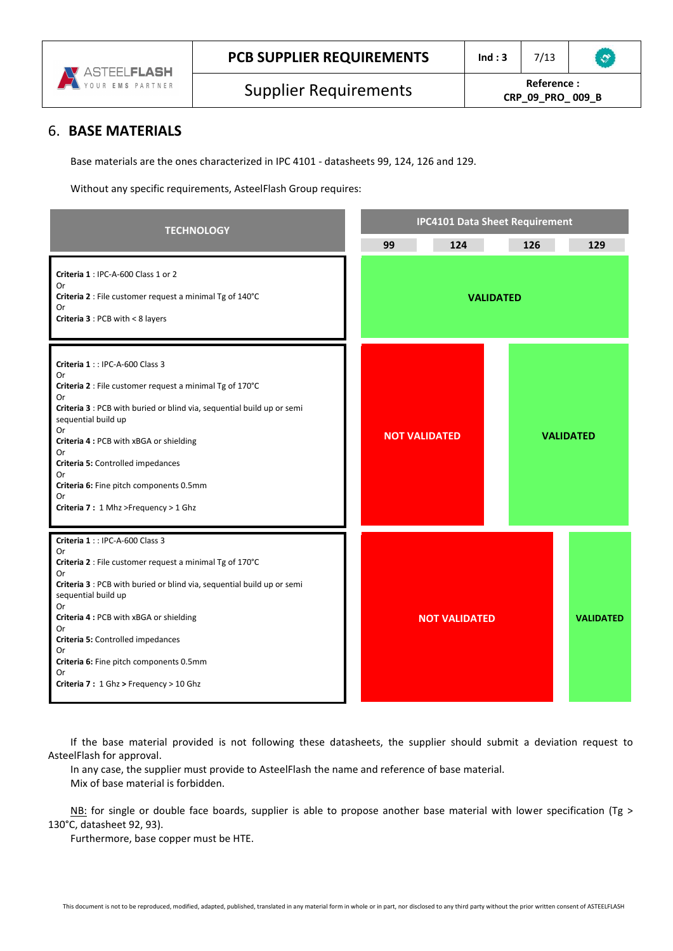

# 6. **BASE MATERIALS**

Base materials are the ones characterized in IPC 4101 - datasheets 99, 124, 126 and 129.

Without any specific requirements, AsteelFlash Group requires:

| <b>TECHNOLOGY</b>                                                                                                                                                                                                                                                                                                                                                                                   | <b>IPC4101 Data Sheet Requirement</b> |                      |                  |                  |
|-----------------------------------------------------------------------------------------------------------------------------------------------------------------------------------------------------------------------------------------------------------------------------------------------------------------------------------------------------------------------------------------------------|---------------------------------------|----------------------|------------------|------------------|
|                                                                                                                                                                                                                                                                                                                                                                                                     | 99                                    | 124                  | 126              | 129              |
| Criteria 1 : IPC-A-600 Class 1 or 2<br>Or<br>Criteria 2 : File customer request a minimal Tg of 140°C<br>Or<br><b>Criteria 3</b> : PCB with $< 8$ layers                                                                                                                                                                                                                                            |                                       |                      | <b>VALIDATED</b> |                  |
| Criteria 1: : IPC-A-600 Class 3<br>Or<br>Criteria 2 : File customer request a minimal Tg of 170°C<br>Or<br>Criteria 3 : PCB with buried or blind via, sequential build up or semi<br>sequential build up<br>0r<br>Criteria 4 : PCB with xBGA or shielding<br>Or<br>Criteria 5: Controlled impedances<br>Or<br>Criteria 6: Fine pitch components 0.5mm<br>Or<br>Criteria 7: 1 Mhz >Frequency > 1 Ghz |                                       | <b>NOT VALIDATED</b> |                  | <b>VALIDATED</b> |
| Criteria 1: IPC-A-600 Class 3<br>Or<br>Criteria 2 : File customer request a minimal Tg of 170°C<br>Or<br>Criteria 3 : PCB with buried or blind via, sequential build up or semi<br>sequential build up<br>0r<br>Criteria 4 : PCB with xBGA or shielding<br>Or<br>Criteria 5: Controlled impedances<br>Or<br>Criteria 6: Fine pitch components 0.5mm<br>Or<br>Criteria 7: 1 Ghz > Frequency > 10 Ghz |                                       | <b>NOT VALIDATED</b> |                  | <b>VALIDATED</b> |

If the base material provided is not following these datasheets, the supplier should submit a deviation request to AsteelFlash for approval.

In any case, the supplier must provide to AsteelFlash the name and reference of base material. Mix of base material is forbidden.

NB: for single or double face boards, supplier is able to propose another base material with lower specification (Tg > 130°C, datasheet 92, 93).

Furthermore, base copper must be HTE.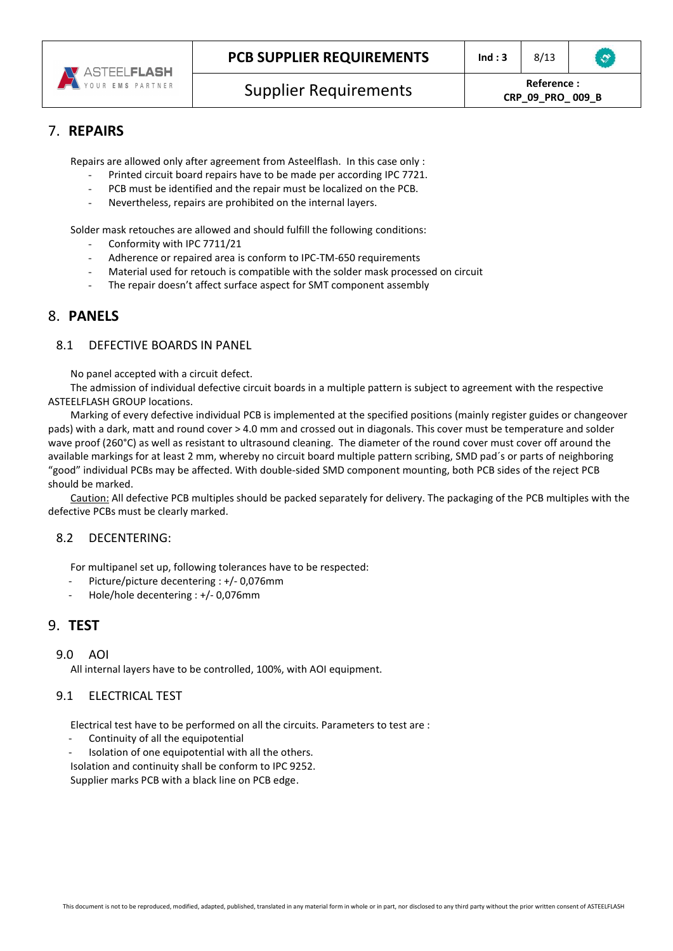

# **CRP\_09\_PRO\_ 009\_B**

 $\mathcal{L}$ 

# 7. **REPAIRS**

Repairs are allowed only after agreement from Asteelflash. In this case only :

- Printed circuit board repairs have to be made per according IPC 7721.
- PCB must be identified and the repair must be localized on the PCB.
- Nevertheless, repairs are prohibited on the internal layers.

Solder mask retouches are allowed and should fulfill the following conditions:

- Conformity with IPC 7711/21
- Adherence or repaired area is conform to IPC-TM-650 requirements
- Material used for retouch is compatible with the solder mask processed on circuit
- The repair doesn't affect surface aspect for SMT component assembly

#### 8. **PANELS**

#### 8.1 DEFECTIVE BOARDS IN PANEL

No panel accepted with a circuit defect.

The admission of individual defective circuit boards in a multiple pattern is subject to agreement with the respective ASTEELFLASH GROUP locations.

Marking of every defective individual PCB is implemented at the specified positions (mainly register guides or changeover pads) with a dark, matt and round cover > 4.0 mm and crossed out in diagonals. This cover must be temperature and solder wave proof (260°C) as well as resistant to ultrasound cleaning. The diameter of the round cover must cover off around the available markings for at least 2 mm, whereby no circuit board multiple pattern scribing, SMD pad´s or parts of neighboring "good" individual PCBs may be affected. With double-sided SMD component mounting, both PCB sides of the reject PCB should be marked.

Caution: All defective PCB multiples should be packed separately for delivery. The packaging of the PCB multiples with the defective PCBs must be clearly marked.

#### 8.2 DECENTERING:

For multipanel set up, following tolerances have to be respected:

- Picture/picture decentering : +/- 0,076mm
- Hole/hole decentering : +/- 0,076mm

#### 9. **TEST**

#### 9.0 AOI

All internal layers have to be controlled, 100%, with AOI equipment.

#### 9.1 ELECTRICAL TEST

Electrical test have to be performed on all the circuits. Parameters to test are :

- Continuity of all the equipotential
- Isolation of one equipotential with all the others.
- Isolation and continuity shall be conform to IPC 9252.

Supplier marks PCB with a black line on PCB edge.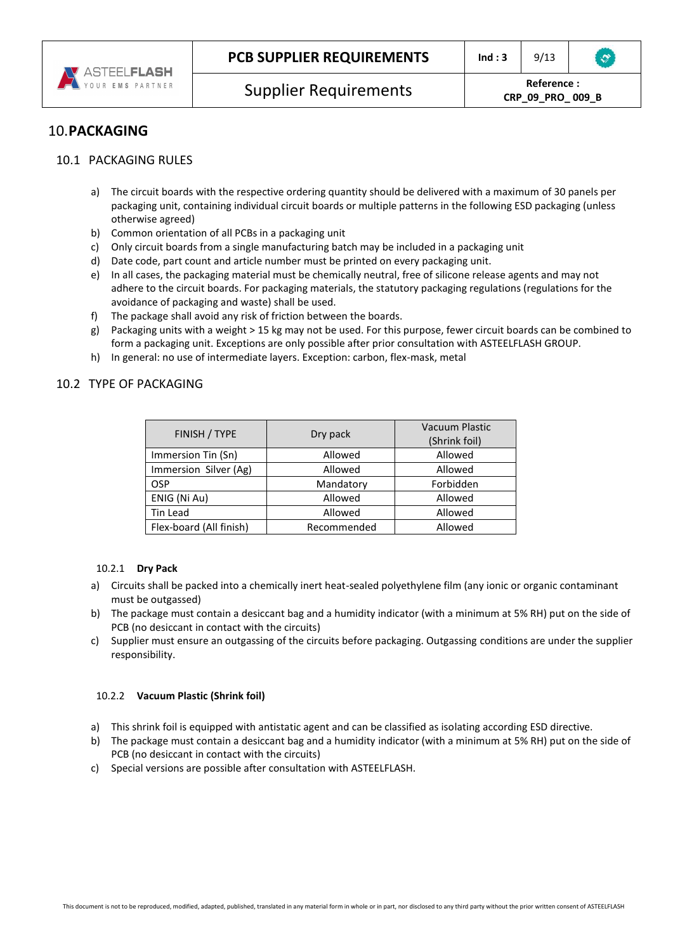

# 10.**PACKAGING**

#### 10.1 PACKAGING RULES

- a) The circuit boards with the respective ordering quantity should be delivered with a maximum of 30 panels per packaging unit, containing individual circuit boards or multiple patterns in the following ESD packaging (unless otherwise agreed)
- b) Common orientation of all PCBs in a packaging unit
- c) Only circuit boards from a single manufacturing batch may be included in a packaging unit
- d) Date code, part count and article number must be printed on every packaging unit.
- e) In all cases, the packaging material must be chemically neutral, free of silicone release agents and may not adhere to the circuit boards. For packaging materials, the statutory packaging regulations (regulations for the avoidance of packaging and waste) shall be used.
- f) The package shall avoid any risk of friction between the boards.
- g) Packaging units with a weight > 15 kg may not be used. For this purpose, fewer circuit boards can be combined to form a packaging unit. Exceptions are only possible after prior consultation with ASTEELFLASH GROUP.
- h) In general: no use of intermediate layers. Exception: carbon, flex-mask, metal

#### 10.2 TYPE OF PACKAGING

| FINISH / TYPE           | Dry pack    | <b>Vacuum Plastic</b> |  |
|-------------------------|-------------|-----------------------|--|
|                         |             | (Shrink foil)         |  |
| Immersion Tin (Sn)      | Allowed     | Allowed               |  |
| Immersion Silver (Ag)   | Allowed     | Allowed               |  |
| <b>OSP</b>              | Mandatory   | Forbidden             |  |
| ENIG (Ni Au)            | Allowed     | Allowed               |  |
| Tin Lead                | Allowed     | Allowed               |  |
| Flex-board (All finish) | Recommended | Allowed               |  |

#### 10.2.1 **Dry Pack**

- a) Circuits shall be packed into a chemically inert heat-sealed polyethylene film (any ionic or organic contaminant must be outgassed)
- b) The package must contain a desiccant bag and a humidity indicator (with a minimum at 5% RH) put on the side of PCB (no desiccant in contact with the circuits)
- c) Supplier must ensure an outgassing of the circuits before packaging. Outgassing conditions are under the supplier responsibility.

#### 10.2.2 **Vacuum Plastic (Shrink foil)**

- a) This shrink foil is equipped with antistatic agent and can be classified as isolating according ESD directive.
- b) The package must contain a desiccant bag and a humidity indicator (with a minimum at 5% RH) put on the side of PCB (no desiccant in contact with the circuits)
- c) Special versions are possible after consultation with ASTEELFLASH.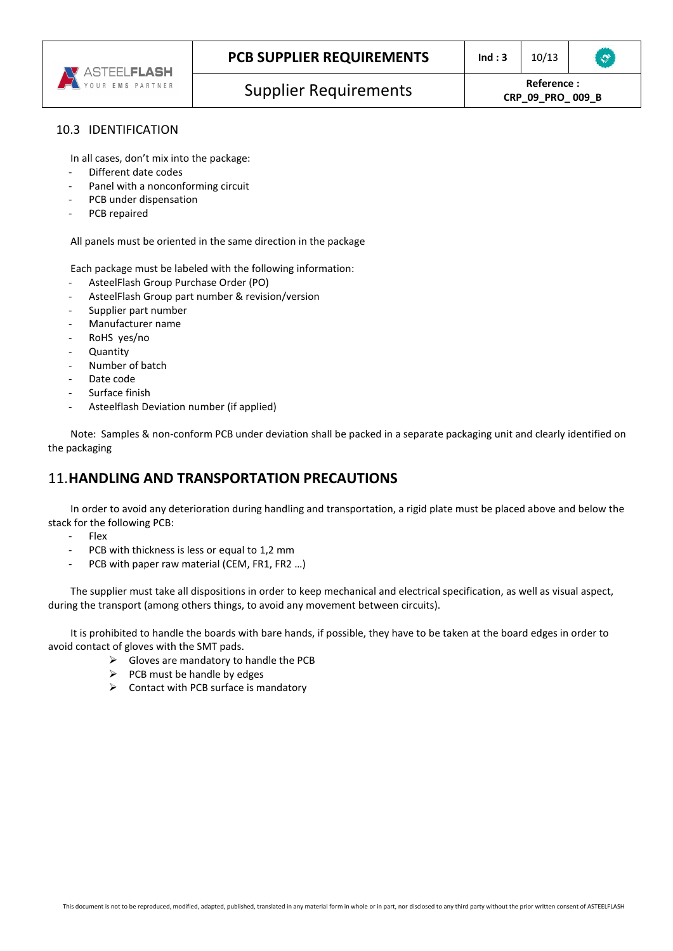

#### 10.3 IDENTIFICATION

In all cases, don't mix into the package:

- Different date codes
- Panel with a nonconforming circuit
- PCB under dispensation
- PCB repaired

All panels must be oriented in the same direction in the package

Each package must be labeled with the following information:

- AsteelFlash Group Purchase Order (PO)
- AsteelFlash Group part number & revision/version
- Supplier part number
- Manufacturer name
- RoHS yes/no
- **Quantity**
- Number of batch
- Date code
- Surface finish
- Asteelflash Deviation number (if applied)

Note: Samples & non-conform PCB under deviation shall be packed in a separate packaging unit and clearly identified on the packaging

# 11.**HANDLING AND TRANSPORTATION PRECAUTIONS**

In order to avoid any deterioration during handling and transportation, a rigid plate must be placed above and below the stack for the following PCB:

- Flex
- PCB with thickness is less or equal to 1,2 mm
- PCB with paper raw material (CEM, FR1, FR2 …)

The supplier must take all dispositions in order to keep mechanical and electrical specification, as well as visual aspect, during the transport (among others things, to avoid any movement between circuits).

It is prohibited to handle the boards with bare hands, if possible, they have to be taken at the board edges in order to avoid contact of gloves with the SMT pads.

- $\triangleright$  Gloves are mandatory to handle the PCB
- $\triangleright$  PCB must be handle by edges
- $\triangleright$  Contact with PCB surface is mandatory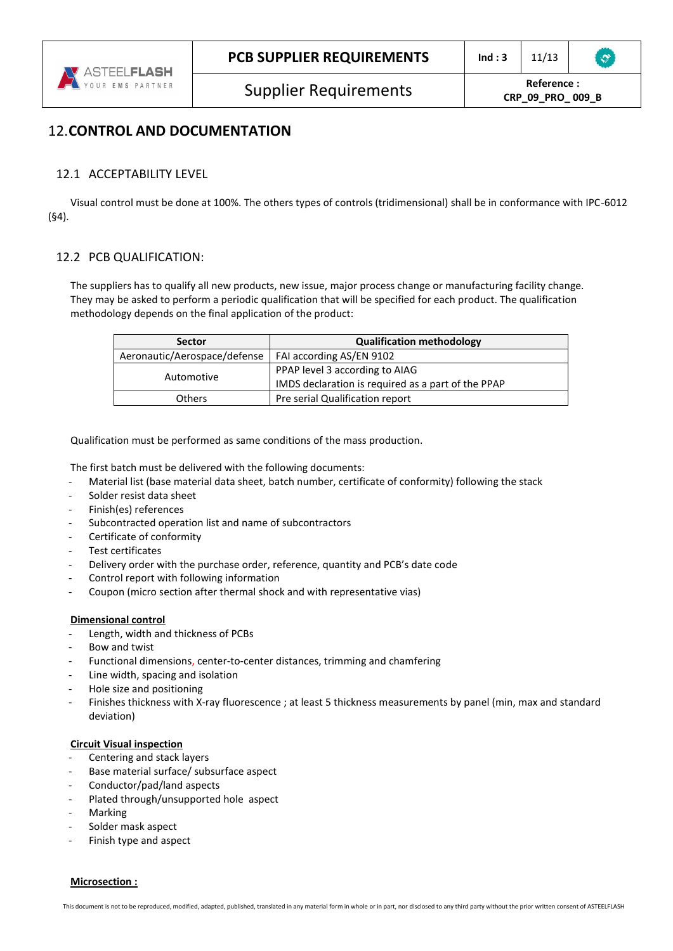# 12.**CONTROL AND DOCUMENTATION**

# 12.1 ACCEPTABILITY LEVEL

Visual control must be done at 100%. The others types of controls (tridimensional) shall be in conformance with IPC-6012 (§4).

# 12.2 PCB QUALIFICATION:

The suppliers has to qualify all new products, new issue, major process change or manufacturing facility change. They may be asked to perform a periodic qualification that will be specified for each product. The qualification methodology depends on the final application of the product:

| <b>Sector</b>                                           | <b>Qualification methodology</b>                   |
|---------------------------------------------------------|----------------------------------------------------|
| Aeronautic/Aerospace/defense   FAI according AS/EN 9102 |                                                    |
|                                                         | PPAP level 3 according to AIAG                     |
| Automotive                                              | IMDS declaration is required as a part of the PPAP |
| Others                                                  | Pre serial Qualification report                    |

Qualification must be performed as same conditions of the mass production.

The first batch must be delivered with the following documents:

- Material list (base material data sheet, batch number, certificate of conformity) following the stack
- Solder resist data sheet
- Finish(es) references
- Subcontracted operation list and name of subcontractors
- Certificate of conformity
- Test certificates
- Delivery order with the purchase order, reference, quantity and PCB's date code
- Control report with following information
- Coupon (micro section after thermal shock and with representative vias)

## **Dimensional control**

- Length, width and thickness of PCBs
- Bow and twist
- Functional dimensions, center-to-center distances, trimming and chamfering
- Line width, spacing and isolation
- Hole size and positioning
- Finishes thickness with X-ray fluorescence ; at least 5 thickness measurements by panel (min, max and standard deviation)

## **Circuit Visual inspection**

- Centering and stack layers
- Base material surface/ subsurface aspect
- Conductor/pad/land aspects
- Plated through/unsupported hole aspect
- **Marking**
- Solder mask aspect
- Finish type and aspect

#### **Microsection :**